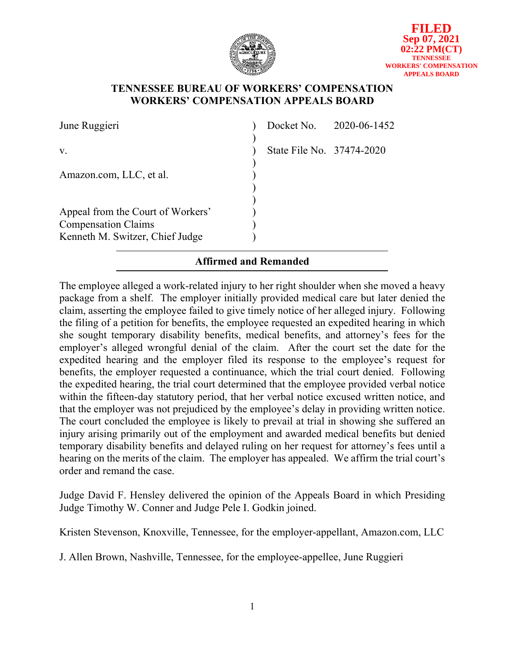

## **TENNESSEE BUREAU OF WORKERS' COMPENSATION WORKERS' COMPENSATION APPEALS BOARD**

| June Ruggieri                                                                                      |                           | Docket No. 2020-06-1452 |
|----------------------------------------------------------------------------------------------------|---------------------------|-------------------------|
| V.                                                                                                 | State File No. 37474-2020 |                         |
| Amazon.com, LLC, et al.                                                                            |                           |                         |
| Appeal from the Court of Workers'<br><b>Compensation Claims</b><br>Kenneth M. Switzer, Chief Judge |                           |                         |

# **Affirmed and Remanded**

The employee alleged a work-related injury to her right shoulder when she moved a heavy package from a shelf. The employer initially provided medical care but later denied the claim, asserting the employee failed to give timely notice of her alleged injury. Following the filing of a petition for benefits, the employee requested an expedited hearing in which she sought temporary disability benefits, medical benefits, and attorney's fees for the employer's alleged wrongful denial of the claim. After the court set the date for the expedited hearing and the employer filed its response to the employee's request for benefits, the employer requested a continuance, which the trial court denied. Following the expedited hearing, the trial court determined that the employee provided verbal notice within the fifteen-day statutory period, that her verbal notice excused written notice, and that the employer was not prejudiced by the employee's delay in providing written notice. The court concluded the employee is likely to prevail at trial in showing she suffered an injury arising primarily out of the employment and awarded medical benefits but denied temporary disability benefits and delayed ruling on her request for attorney's fees until a hearing on the merits of the claim. The employer has appealed. We affirm the trial court's order and remand the case.

Judge David F. Hensley delivered the opinion of the Appeals Board in which Presiding Judge Timothy W. Conner and Judge Pele I. Godkin joined.

Kristen Stevenson, Knoxville, Tennessee, for the employer-appellant, Amazon.com, LLC

J. Allen Brown, Nashville, Tennessee, for the employee-appellee, June Ruggieri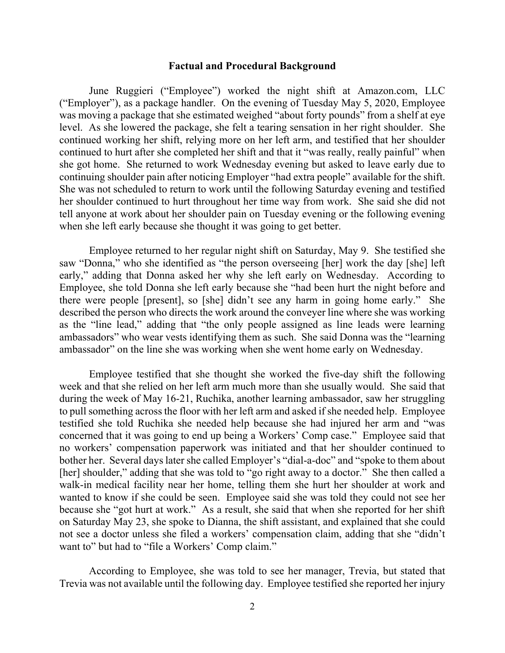#### **Factual and Procedural Background**

June Ruggieri ("Employee") worked the night shift at Amazon.com, LLC ("Employer"), as a package handler. On the evening of Tuesday May 5, 2020, Employee was moving a package that she estimated weighed "about forty pounds" from a shelf at eye level. As she lowered the package, she felt a tearing sensation in her right shoulder. She continued working her shift, relying more on her left arm, and testified that her shoulder continued to hurt after she completed her shift and that it "was really, really painful" when she got home. She returned to work Wednesday evening but asked to leave early due to continuing shoulder pain after noticing Employer "had extra people" available for the shift. She was not scheduled to return to work until the following Saturday evening and testified her shoulder continued to hurt throughout her time way from work. She said she did not tell anyone at work about her shoulder pain on Tuesday evening or the following evening when she left early because she thought it was going to get better.

Employee returned to her regular night shift on Saturday, May 9. She testified she saw "Donna," who she identified as "the person overseeing [her] work the day [she] left early," adding that Donna asked her why she left early on Wednesday. According to Employee, she told Donna she left early because she "had been hurt the night before and there were people [present], so [she] didn't see any harm in going home early." She described the person who directs the work around the conveyer line where she was working as the "line lead," adding that "the only people assigned as line leads were learning ambassadors" who wear vests identifying them as such. She said Donna was the "learning ambassador" on the line she was working when she went home early on Wednesday.

Employee testified that she thought she worked the five-day shift the following week and that she relied on her left arm much more than she usually would. She said that during the week of May 16-21, Ruchika, another learning ambassador, saw her struggling to pull something across the floor with her left arm and asked if she needed help. Employee testified she told Ruchika she needed help because she had injured her arm and "was concerned that it was going to end up being a Workers' Comp case." Employee said that no workers' compensation paperwork was initiated and that her shoulder continued to bother her. Several days later she called Employer's "dial-a-doc" and "spoke to them about [her] shoulder," adding that she was told to "go right away to a doctor." She then called a walk-in medical facility near her home, telling them she hurt her shoulder at work and wanted to know if she could be seen. Employee said she was told they could not see her because she "got hurt at work." As a result, she said that when she reported for her shift on Saturday May 23, she spoke to Dianna, the shift assistant, and explained that she could not see a doctor unless she filed a workers' compensation claim, adding that she "didn't want to" but had to "file a Workers' Comp claim."

According to Employee, she was told to see her manager, Trevia, but stated that Trevia was not available until the following day. Employee testified she reported her injury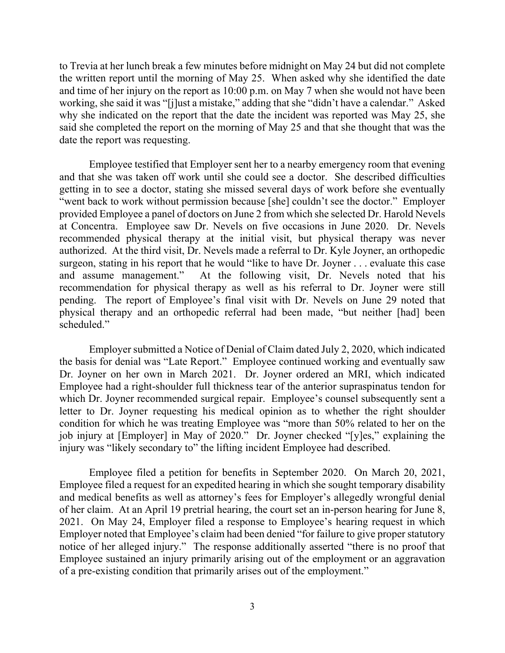to Trevia at her lunch break a few minutes before midnight on May 24 but did not complete the written report until the morning of May 25. When asked why she identified the date and time of her injury on the report as 10:00 p.m. on May 7 when she would not have been working, she said it was "[j]ust a mistake," adding that she "didn't have a calendar." Asked why she indicated on the report that the date the incident was reported was May 25, she said she completed the report on the morning of May 25 and that she thought that was the date the report was requesting.

Employee testified that Employer sent her to a nearby emergency room that evening and that she was taken off work until she could see a doctor. She described difficulties getting in to see a doctor, stating she missed several days of work before she eventually "went back to work without permission because [she] couldn't see the doctor." Employer provided Employee a panel of doctors on June 2 from which she selected Dr. Harold Nevels at Concentra. Employee saw Dr. Nevels on five occasions in June 2020. Dr. Nevels recommended physical therapy at the initial visit, but physical therapy was never authorized. At the third visit, Dr. Nevels made a referral to Dr. Kyle Joyner, an orthopedic surgeon, stating in his report that he would "like to have Dr. Joyner . . . evaluate this case and assume management." At the following visit, Dr. Nevels noted that his recommendation for physical therapy as well as his referral to Dr. Joyner were still pending. The report of Employee's final visit with Dr. Nevels on June 29 noted that physical therapy and an orthopedic referral had been made, "but neither [had] been scheduled."

Employer submitted a Notice of Denial of Claim dated July 2, 2020, which indicated the basis for denial was "Late Report." Employee continued working and eventually saw Dr. Joyner on her own in March 2021. Dr. Joyner ordered an MRI, which indicated Employee had a right-shoulder full thickness tear of the anterior supraspinatus tendon for which Dr. Joyner recommended surgical repair. Employee's counsel subsequently sent a letter to Dr. Joyner requesting his medical opinion as to whether the right shoulder condition for which he was treating Employee was "more than 50% related to her on the job injury at [Employer] in May of 2020." Dr. Joyner checked "[y]es," explaining the injury was "likely secondary to" the lifting incident Employee had described.

Employee filed a petition for benefits in September 2020. On March 20, 2021, Employee filed a request for an expedited hearing in which she sought temporary disability and medical benefits as well as attorney's fees for Employer's allegedly wrongful denial of her claim. At an April 19 pretrial hearing, the court set an in-person hearing for June 8, 2021. On May 24, Employer filed a response to Employee's hearing request in which Employer noted that Employee's claim had been denied "for failure to give proper statutory notice of her alleged injury." The response additionally asserted "there is no proof that Employee sustained an injury primarily arising out of the employment or an aggravation of a pre-existing condition that primarily arises out of the employment."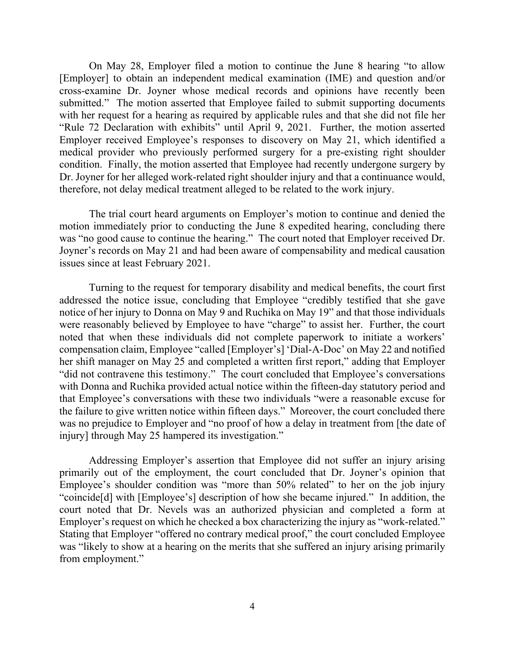On May 28, Employer filed a motion to continue the June 8 hearing "to allow [Employer] to obtain an independent medical examination (IME) and question and/or cross-examine Dr. Joyner whose medical records and opinions have recently been submitted." The motion asserted that Employee failed to submit supporting documents with her request for a hearing as required by applicable rules and that she did not file her "Rule 72 Declaration with exhibits" until April 9, 2021. Further, the motion asserted Employer received Employee's responses to discovery on May 21, which identified a medical provider who previously performed surgery for a pre-existing right shoulder condition. Finally, the motion asserted that Employee had recently undergone surgery by Dr. Joyner for her alleged work-related right shoulder injury and that a continuance would, therefore, not delay medical treatment alleged to be related to the work injury.

The trial court heard arguments on Employer's motion to continue and denied the motion immediately prior to conducting the June 8 expedited hearing, concluding there was "no good cause to continue the hearing." The court noted that Employer received Dr. Joyner's records on May 21 and had been aware of compensability and medical causation issues since at least February 2021.

Turning to the request for temporary disability and medical benefits, the court first addressed the notice issue, concluding that Employee "credibly testified that she gave notice of her injury to Donna on May 9 and Ruchika on May 19" and that those individuals were reasonably believed by Employee to have "charge" to assist her. Further, the court noted that when these individuals did not complete paperwork to initiate a workers' compensation claim, Employee "called [Employer's] 'Dial-A-Doc' on May 22 and notified her shift manager on May 25 and completed a written first report," adding that Employer "did not contravene this testimony." The court concluded that Employee's conversations with Donna and Ruchika provided actual notice within the fifteen-day statutory period and that Employee's conversations with these two individuals "were a reasonable excuse for the failure to give written notice within fifteen days." Moreover, the court concluded there was no prejudice to Employer and "no proof of how a delay in treatment from [the date of injury] through May 25 hampered its investigation."

Addressing Employer's assertion that Employee did not suffer an injury arising primarily out of the employment, the court concluded that Dr. Joyner's opinion that Employee's shoulder condition was "more than 50% related" to her on the job injury "coincide[d] with [Employee's] description of how she became injured." In addition, the court noted that Dr. Nevels was an authorized physician and completed a form at Employer's request on which he checked a box characterizing the injury as "work-related." Stating that Employer "offered no contrary medical proof," the court concluded Employee was "likely to show at a hearing on the merits that she suffered an injury arising primarily from employment."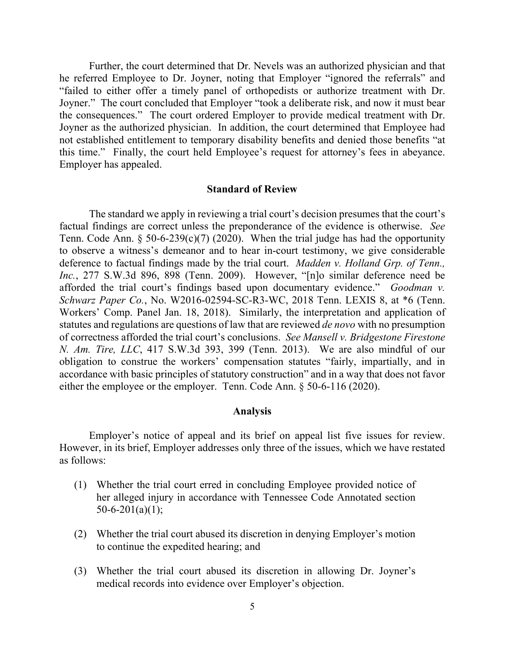Further, the court determined that Dr. Nevels was an authorized physician and that he referred Employee to Dr. Joyner, noting that Employer "ignored the referrals" and "failed to either offer a timely panel of orthopedists or authorize treatment with Dr. Joyner." The court concluded that Employer "took a deliberate risk, and now it must bear the consequences." The court ordered Employer to provide medical treatment with Dr. Joyner as the authorized physician. In addition, the court determined that Employee had not established entitlement to temporary disability benefits and denied those benefits "at this time." Finally, the court held Employee's request for attorney's fees in abeyance. Employer has appealed.

## **Standard of Review**

The standard we apply in reviewing a trial court's decision presumes that the court's factual findings are correct unless the preponderance of the evidence is otherwise. *See* Tenn. Code Ann. § 50-6-239(c)(7) (2020). When the trial judge has had the opportunity to observe a witness's demeanor and to hear in-court testimony, we give considerable deference to factual findings made by the trial court. *Madden v. Holland Grp. of Tenn., Inc.*, 277 S.W.3d 896, 898 (Tenn. 2009). However, "[n]o similar deference need be afforded the trial court's findings based upon documentary evidence." *Goodman v. Schwarz Paper Co.*, No. W2016-02594-SC-R3-WC, 2018 Tenn. LEXIS 8, at \*6 (Tenn. Workers' Comp. Panel Jan. 18, 2018). Similarly, the interpretation and application of statutes and regulations are questions of law that are reviewed *de novo* with no presumption of correctness afforded the trial court's conclusions. *See Mansell v. Bridgestone Firestone N. Am. Tire, LLC*, 417 S.W.3d 393, 399 (Tenn. 2013). We are also mindful of our obligation to construe the workers' compensation statutes "fairly, impartially, and in accordance with basic principles of statutory construction" and in a way that does not favor either the employee or the employer. Tenn. Code Ann. § 50-6-116 (2020).

## **Analysis**

Employer's notice of appeal and its brief on appeal list five issues for review. However, in its brief, Employer addresses only three of the issues, which we have restated as follows:

- (1) Whether the trial court erred in concluding Employee provided notice of her alleged injury in accordance with Tennessee Code Annotated section  $50-6-201(a)(1);$
- (2) Whether the trial court abused its discretion in denying Employer's motion to continue the expedited hearing; and
- (3) Whether the trial court abused its discretion in allowing Dr. Joyner's medical records into evidence over Employer's objection.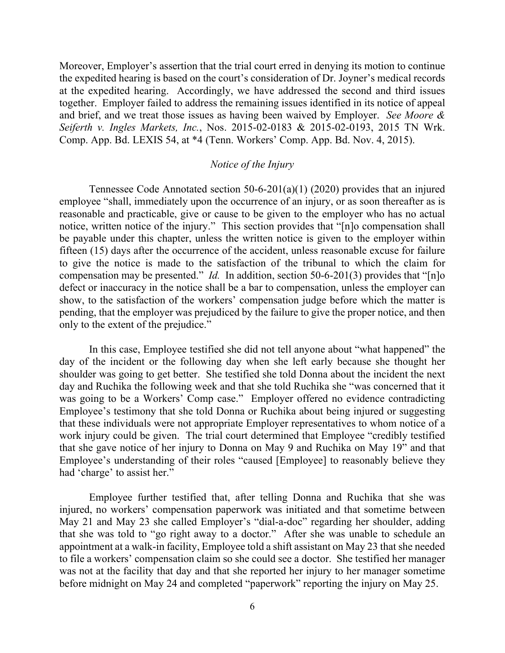Moreover, Employer's assertion that the trial court erred in denying its motion to continue the expedited hearing is based on the court's consideration of Dr. Joyner's medical records at the expedited hearing. Accordingly, we have addressed the second and third issues together. Employer failed to address the remaining issues identified in its notice of appeal and brief, and we treat those issues as having been waived by Employer. *See Moore & Seiferth v. Ingles Markets, Inc.*, Nos. 2015-02-0183 & 2015-02-0193, 2015 TN Wrk. Comp. App. Bd. LEXIS 54, at \*4 (Tenn. Workers' Comp. App. Bd. Nov. 4, 2015).

## *Notice of the Injury*

Tennessee Code Annotated section 50-6-201(a)(1) (2020) provides that an injured employee "shall, immediately upon the occurrence of an injury, or as soon thereafter as is reasonable and practicable, give or cause to be given to the employer who has no actual notice, written notice of the injury." This section provides that "[n]o compensation shall be payable under this chapter, unless the written notice is given to the employer within fifteen (15) days after the occurrence of the accident, unless reasonable excuse for failure to give the notice is made to the satisfaction of the tribunal to which the claim for compensation may be presented." *Id.* In addition, section 50-6-201(3) provides that "[n]o defect or inaccuracy in the notice shall be a bar to compensation, unless the employer can show, to the satisfaction of the workers' compensation judge before which the matter is pending, that the employer was prejudiced by the failure to give the proper notice, and then only to the extent of the prejudice."

In this case, Employee testified she did not tell anyone about "what happened" the day of the incident or the following day when she left early because she thought her shoulder was going to get better. She testified she told Donna about the incident the next day and Ruchika the following week and that she told Ruchika she "was concerned that it was going to be a Workers' Comp case." Employer offered no evidence contradicting Employee's testimony that she told Donna or Ruchika about being injured or suggesting that these individuals were not appropriate Employer representatives to whom notice of a work injury could be given. The trial court determined that Employee "credibly testified that she gave notice of her injury to Donna on May 9 and Ruchika on May 19" and that Employee's understanding of their roles "caused [Employee] to reasonably believe they had 'charge' to assist her."

Employee further testified that, after telling Donna and Ruchika that she was injured, no workers' compensation paperwork was initiated and that sometime between May 21 and May 23 she called Employer's "dial-a-doc" regarding her shoulder, adding that she was told to "go right away to a doctor." After she was unable to schedule an appointment at a walk-in facility, Employee told a shift assistant on May 23 that she needed to file a workers' compensation claim so she could see a doctor. She testified her manager was not at the facility that day and that she reported her injury to her manager sometime before midnight on May 24 and completed "paperwork" reporting the injury on May 25.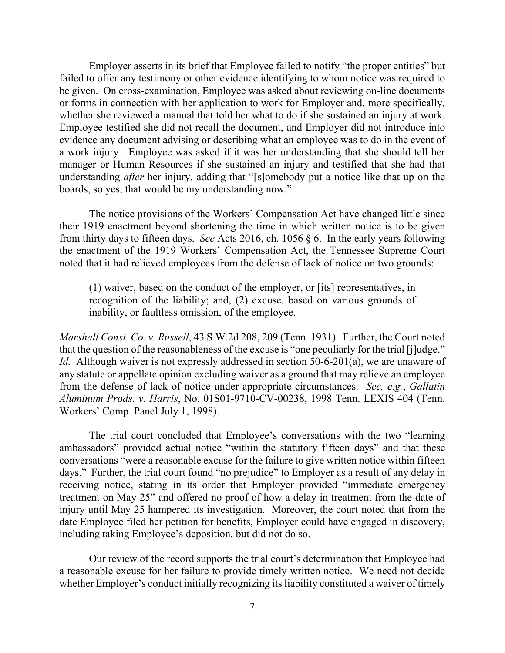Employer asserts in its brief that Employee failed to notify "the proper entities" but failed to offer any testimony or other evidence identifying to whom notice was required to be given. On cross-examination, Employee was asked about reviewing on-line documents or forms in connection with her application to work for Employer and, more specifically, whether she reviewed a manual that told her what to do if she sustained an injury at work. Employee testified she did not recall the document, and Employer did not introduce into evidence any document advising or describing what an employee was to do in the event of a work injury. Employee was asked if it was her understanding that she should tell her manager or Human Resources if she sustained an injury and testified that she had that understanding *after* her injury, adding that "[s]omebody put a notice like that up on the boards, so yes, that would be my understanding now."

The notice provisions of the Workers' Compensation Act have changed little since their 1919 enactment beyond shortening the time in which written notice is to be given from thirty days to fifteen days. *See* Acts 2016, ch. 1056 § 6. In the early years following the enactment of the 1919 Workers' Compensation Act, the Tennessee Supreme Court noted that it had relieved employees from the defense of lack of notice on two grounds:

(1) waiver, based on the conduct of the employer, or [its] representatives, in recognition of the liability; and, (2) excuse, based on various grounds of inability, or faultless omission, of the employee.

*Marshall Const. Co. v. Russell*, 43 S.W.2d 208, 209 (Tenn. 1931). Further, the Court noted that the question of the reasonableness of the excuse is "one peculiarly for the trial [j]udge." *Id.* Although waiver is not expressly addressed in section 50-6-201(a), we are unaware of any statute or appellate opinion excluding waiver as a ground that may relieve an employee from the defense of lack of notice under appropriate circumstances. *See, e.g.*, *Gallatin Aluminum Prods. v. Harris*, No. 01S01-9710-CV-00238, 1998 Tenn. LEXIS 404 (Tenn. Workers' Comp. Panel July 1, 1998).

The trial court concluded that Employee's conversations with the two "learning ambassadors" provided actual notice "within the statutory fifteen days" and that these conversations "were a reasonable excuse for the failure to give written notice within fifteen days." Further, the trial court found "no prejudice" to Employer as a result of any delay in receiving notice, stating in its order that Employer provided "immediate emergency treatment on May 25" and offered no proof of how a delay in treatment from the date of injury until May 25 hampered its investigation. Moreover, the court noted that from the date Employee filed her petition for benefits, Employer could have engaged in discovery, including taking Employee's deposition, but did not do so.

Our review of the record supports the trial court's determination that Employee had a reasonable excuse for her failure to provide timely written notice. We need not decide whether Employer's conduct initially recognizing its liability constituted a waiver of timely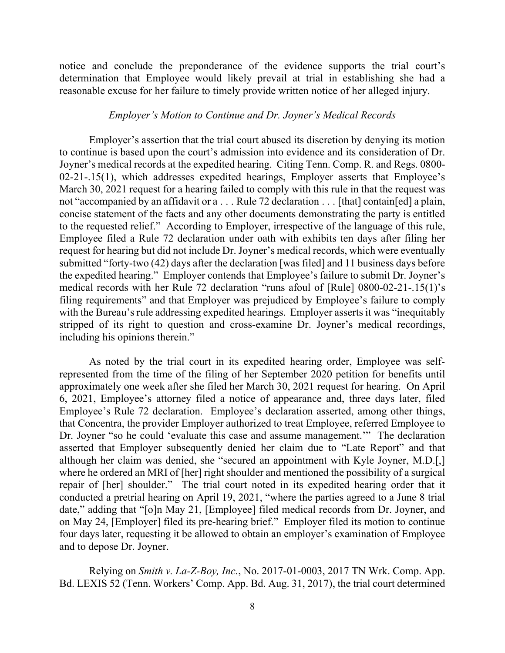notice and conclude the preponderance of the evidence supports the trial court's determination that Employee would likely prevail at trial in establishing she had a reasonable excuse for her failure to timely provide written notice of her alleged injury.

## *Employer's Motion to Continue and Dr. Joyner's Medical Records*

Employer's assertion that the trial court abused its discretion by denying its motion to continue is based upon the court's admission into evidence and its consideration of Dr. Joyner's medical records at the expedited hearing. Citing Tenn. Comp. R. and Regs. 0800- 02-21-.15(1), which addresses expedited hearings, Employer asserts that Employee's March 30, 2021 request for a hearing failed to comply with this rule in that the request was not "accompanied by an affidavit or a . . . Rule 72 declaration . . . [that] contain[ed] a plain, concise statement of the facts and any other documents demonstrating the party is entitled to the requested relief." According to Employer, irrespective of the language of this rule, Employee filed a Rule 72 declaration under oath with exhibits ten days after filing her request for hearing but did not include Dr. Joyner's medical records, which were eventually submitted "forty-two (42) days after the declaration [was filed] and 11 business days before the expedited hearing." Employer contends that Employee's failure to submit Dr. Joyner's medical records with her Rule 72 declaration "runs afoul of [Rule] 0800-02-21-.15(1)'s filing requirements" and that Employer was prejudiced by Employee's failure to comply with the Bureau's rule addressing expedited hearings. Employer asserts it was "inequitably stripped of its right to question and cross-examine Dr. Joyner's medical recordings, including his opinions therein."

As noted by the trial court in its expedited hearing order, Employee was selfrepresented from the time of the filing of her September 2020 petition for benefits until approximately one week after she filed her March 30, 2021 request for hearing. On April 6, 2021, Employee's attorney filed a notice of appearance and, three days later, filed Employee's Rule 72 declaration. Employee's declaration asserted, among other things, that Concentra, the provider Employer authorized to treat Employee, referred Employee to Dr. Joyner "so he could 'evaluate this case and assume management.'" The declaration asserted that Employer subsequently denied her claim due to "Late Report" and that although her claim was denied, she "secured an appointment with Kyle Joyner, M.D.[,] where he ordered an MRI of [her] right shoulder and mentioned the possibility of a surgical repair of [her] shoulder." The trial court noted in its expedited hearing order that it conducted a pretrial hearing on April 19, 2021, "where the parties agreed to a June 8 trial date," adding that "[o]n May 21, [Employee] filed medical records from Dr. Joyner, and on May 24, [Employer] filed its pre-hearing brief." Employer filed its motion to continue four days later, requesting it be allowed to obtain an employer's examination of Employee and to depose Dr. Joyner.

Relying on *Smith v. La-Z-Boy, Inc.*, No. 2017-01-0003, 2017 TN Wrk. Comp. App. Bd. LEXIS 52 (Tenn. Workers' Comp. App. Bd. Aug. 31, 2017), the trial court determined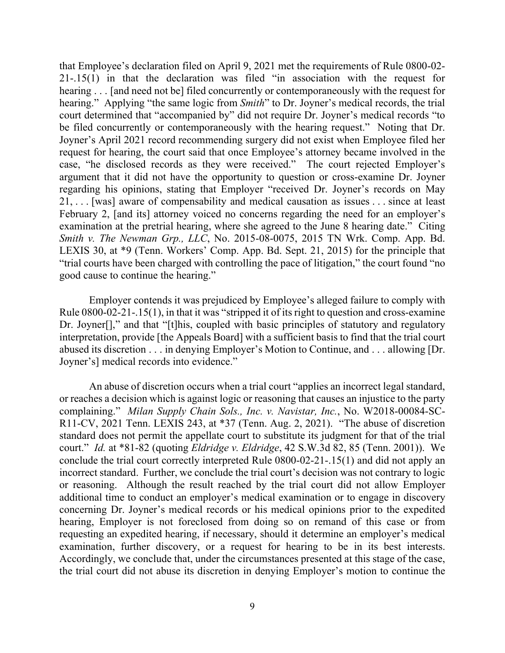that Employee's declaration filed on April 9, 2021 met the requirements of Rule 0800-02- 21-.15(1) in that the declaration was filed "in association with the request for hearing . . . [and need not be] filed concurrently or contemporaneously with the request for hearing." Applying "the same logic from *Smith*" to Dr. Joyner's medical records, the trial court determined that "accompanied by" did not require Dr. Joyner's medical records "to be filed concurrently or contemporaneously with the hearing request." Noting that Dr. Joyner's April 2021 record recommending surgery did not exist when Employee filed her request for hearing, the court said that once Employee's attorney became involved in the case, "he disclosed records as they were received." The court rejected Employer's argument that it did not have the opportunity to question or cross-examine Dr. Joyner regarding his opinions, stating that Employer "received Dr. Joyner's records on May 21, . . . [was] aware of compensability and medical causation as issues . . . since at least February 2, [and its] attorney voiced no concerns regarding the need for an employer's examination at the pretrial hearing, where she agreed to the June 8 hearing date." Citing *Smith v. The Newman Grp., LLC*, No. 2015-08-0075, 2015 TN Wrk. Comp. App. Bd. LEXIS 30, at \*9 (Tenn. Workers' Comp. App. Bd. Sept. 21, 2015) for the principle that "trial courts have been charged with controlling the pace of litigation," the court found "no good cause to continue the hearing."

Employer contends it was prejudiced by Employee's alleged failure to comply with Rule 0800-02-21-.15(1), in that it was "stripped it of its right to question and cross-examine Dr. Joyner[]," and that "[t]his, coupled with basic principles of statutory and regulatory interpretation, provide [the Appeals Board] with a sufficient basis to find that the trial court abused its discretion . . . in denying Employer's Motion to Continue, and . . . allowing [Dr. Joyner's] medical records into evidence."

An abuse of discretion occurs when a trial court "applies an incorrect legal standard, or reaches a decision which is against logic or reasoning that causes an injustice to the party complaining." *Milan Supply Chain Sols., Inc. v. Navistar, Inc.*, No. W2018-00084-SC-R11-CV, 2021 Tenn. LEXIS 243, at \*37 (Tenn. Aug. 2, 2021). "The abuse of discretion standard does not permit the appellate court to substitute its judgment for that of the trial court." *Id.* at \*81-82 (quoting *Eldridge v. Eldridge*, 42 S.W.3d 82, 85 (Tenn. 2001)). We conclude the trial court correctly interpreted Rule 0800-02-21-.15(1) and did not apply an incorrect standard. Further, we conclude the trial court's decision was not contrary to logic or reasoning. Although the result reached by the trial court did not allow Employer additional time to conduct an employer's medical examination or to engage in discovery concerning Dr. Joyner's medical records or his medical opinions prior to the expedited hearing, Employer is not foreclosed from doing so on remand of this case or from requesting an expedited hearing, if necessary, should it determine an employer's medical examination, further discovery, or a request for hearing to be in its best interests. Accordingly, we conclude that, under the circumstances presented at this stage of the case, the trial court did not abuse its discretion in denying Employer's motion to continue the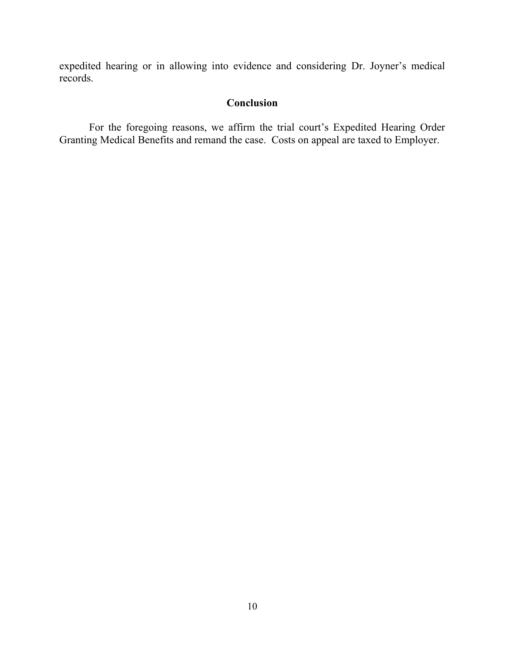expedited hearing or in allowing into evidence and considering Dr. Joyner's medical records.

# **Conclusion**

For the foregoing reasons, we affirm the trial court's Expedited Hearing Order Granting Medical Benefits and remand the case. Costs on appeal are taxed to Employer.